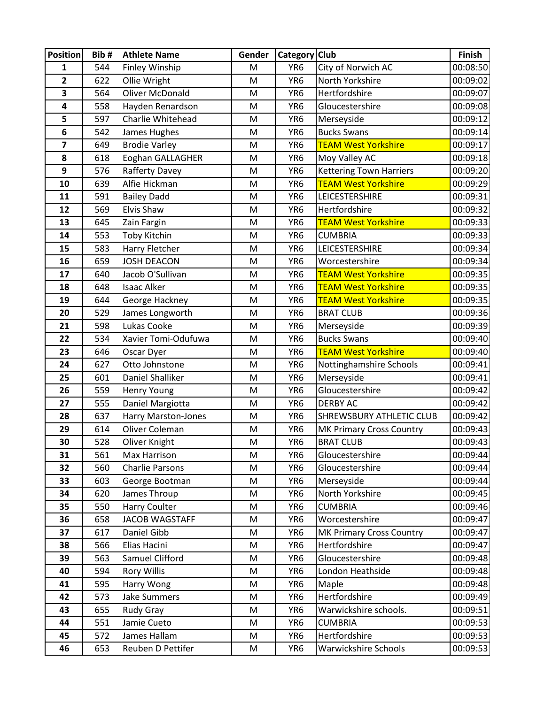| <b>Position</b> | Bib#       | <b>Athlete Name</b>                    | Gender | Category Club                      |                                     | Finish               |
|-----------------|------------|----------------------------------------|--------|------------------------------------|-------------------------------------|----------------------|
| 1               | 544        | Finley Winship                         | M      | YR <sub>6</sub>                    | City of Norwich AC                  | 00:08:50             |
| 2               | 622        | Ollie Wright                           | M      | YR <sub>6</sub>                    | North Yorkshire                     | 00:09:02             |
| 3               | 564        | <b>Oliver McDonald</b>                 | M      | YR <sub>6</sub>                    | Hertfordshire                       | 00:09:07             |
| 4               | 558        | Hayden Renardson                       | M      | YR <sub>6</sub>                    | Gloucestershire                     | 00:09:08             |
| 5               | 597        | Charlie Whitehead                      | M      | YR <sub>6</sub>                    | Merseyside                          | 00:09:12             |
| 6               | 542        | James Hughes                           | M      | YR <sub>6</sub>                    | <b>Bucks Swans</b>                  | 00:09:14             |
| 7               | 649        | <b>Brodie Varley</b>                   | M      | YR <sub>6</sub>                    | <b>TEAM West Yorkshire</b>          | 00:09:17             |
| 8               | 618        | Eoghan GALLAGHER                       | M      | YR <sub>6</sub>                    | Moy Valley AC                       | 00:09:18             |
| 9               | 576        | Rafferty Davey                         | M      | YR <sub>6</sub>                    | <b>Kettering Town Harriers</b>      | 00:09:20             |
| 10              | 639        | Alfie Hickman                          | M      | YR <sub>6</sub>                    | <b>TEAM West Yorkshire</b>          | 00:09:29             |
| 11              | 591        | <b>Bailey Dadd</b>                     | M      | YR <sub>6</sub>                    | LEICESTERSHIRE                      | 00:09:31             |
| 12              | 569        | Elvis Shaw                             | M      | YR <sub>6</sub>                    | Hertfordshire                       | 00:09:32             |
| 13              | 645        | Zain Fargin                            | M      | YR <sub>6</sub>                    | <b>TEAM West Yorkshire</b>          | 00:09:33             |
| 14              | 553        | <b>Toby Kitchin</b>                    | M      | YR <sub>6</sub>                    | <b>CUMBRIA</b>                      | 00:09:33             |
| 15              | 583        | Harry Fletcher                         | M      | YR <sub>6</sub>                    | LEICESTERSHIRE                      | 00:09:34             |
| 16              | 659        | <b>JOSH DEACON</b>                     | M      | YR <sub>6</sub>                    | Worcestershire                      | 00:09:34             |
| 17              | 640        | Jacob O'Sullivan                       | M      | YR <sub>6</sub>                    | <b>TEAM West Yorkshire</b>          | 00:09:35             |
| 18              | 648        | <b>Isaac Alker</b>                     | M      | YR <sub>6</sub>                    | <b>TEAM West Yorkshire</b>          | 00:09:35             |
| 19              | 644        | George Hackney                         | M      | YR <sub>6</sub>                    | <b>TEAM West Yorkshire</b>          | 00:09:35             |
| 20              | 529        | James Longworth                        | M      | YR <sub>6</sub>                    | <b>BRAT CLUB</b>                    | 00:09:36             |
| 21              | 598        | Lukas Cooke                            | M      | YR <sub>6</sub>                    | Merseyside                          | 00:09:39             |
| 22              | 534        | Xavier Tomi-Odufuwa                    | M      | YR <sub>6</sub>                    | <b>Bucks Swans</b>                  | 00:09:40             |
| 23              | 646        | Oscar Dyer                             | M      | YR <sub>6</sub>                    | <b>TEAM West Yorkshire</b>          | 00:09:40             |
| 24              | 627        | Otto Johnstone                         | M      | YR <sub>6</sub>                    | Nottinghamshire Schools             | 00:09:41             |
| 25              | 601        | Daniel Shalliker                       | M      | YR <sub>6</sub>                    | Merseyside                          | 00:09:41             |
| 26              | 559        | <b>Henry Young</b>                     | M      | YR <sub>6</sub>                    | Gloucestershire                     | 00:09:42             |
| 27              | 555        | Daniel Margiotta                       | M      | YR <sub>6</sub>                    | <b>DERBY AC</b>                     | 00:09:42             |
| 28              | 637        | Harry Marston-Jones                    | M      | YR <sub>6</sub>                    | <b>SHREWSBURY ATHLETIC CLUB</b>     | 00:09:42             |
| 29              | 614        | Oliver Coleman                         | M      | YR <sub>6</sub>                    | MK Primary Cross Country            | 00:09:43<br>00:09:43 |
| 30<br>31        | 528        | Oliver Knight                          | M<br>M | YR <sub>6</sub>                    | <b>BRAT CLUB</b><br>Gloucestershire | 00:09:44             |
| 32              | 561<br>560 | Max Harrison<br><b>Charlie Parsons</b> | M      | YR <sub>6</sub><br>YR <sub>6</sub> | Gloucestershire                     | 00:09:44             |
| 33              | 603        | George Bootman                         | M      | YR <sub>6</sub>                    | Merseyside                          | 00:09:44             |
| 34              | 620        | James Throup                           | M      | YR <sub>6</sub>                    | North Yorkshire                     | 00:09:45             |
| 35              | 550        | <b>Harry Coulter</b>                   | M      | YR6                                | <b>CUMBRIA</b>                      | 00:09:46             |
| 36              | 658        | <b>JACOB WAGSTAFF</b>                  | M      | YR <sub>6</sub>                    | Worcestershire                      | 00:09:47             |
| 37              | 617        | Daniel Gibb                            | M      | YR <sub>6</sub>                    | <b>MK Primary Cross Country</b>     | 00:09:47             |
| 38              | 566        | Elias Hacini                           | M      | YR <sub>6</sub>                    | Hertfordshire                       | 00:09:47             |
| 39              | 563        | Samuel Clifford                        | M      | YR <sub>6</sub>                    | Gloucestershire                     | 00:09:48             |
| 40              | 594        | <b>Rory Willis</b>                     | M      | YR6                                | London Heathside                    | 00:09:48             |
| 41              | 595        | Harry Wong                             | M      | YR <sub>6</sub>                    | Maple                               | 00:09:48             |
| 42              | 573        | <b>Jake Summers</b>                    | M      | YR6                                | Hertfordshire                       | 00:09:49             |
| 43              | 655        | <b>Rudy Gray</b>                       | M      | YR <sub>6</sub>                    | Warwickshire schools.               | 00:09:51             |
| 44              | 551        | Jamie Cueto                            | M      | YR <sub>6</sub>                    | <b>CUMBRIA</b>                      | 00:09:53             |
| 45              | 572        | James Hallam                           | M      | YR <sub>6</sub>                    | Hertfordshire                       | 00:09:53             |
| 46              | 653        | Reuben D Pettifer                      | M      | YR <sub>6</sub>                    | Warwickshire Schools                | 00:09:53             |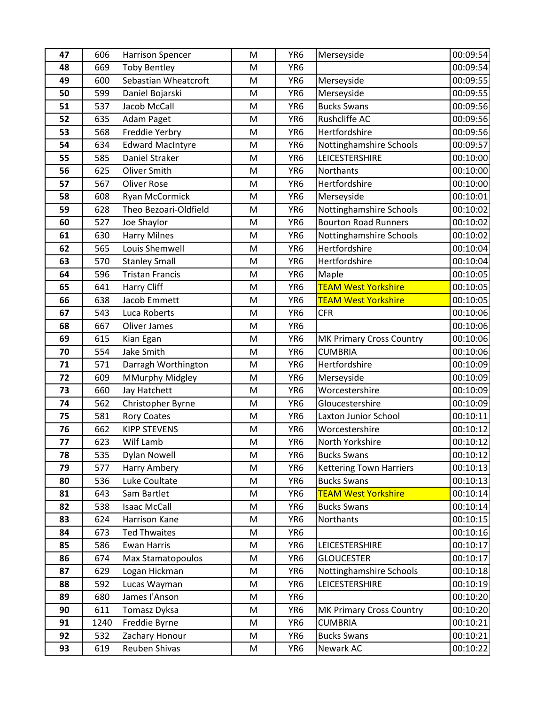| 47       | 606        | <b>Harrison Spencer</b>                   | M      | YR <sub>6</sub>                    | Merseyside                             | 00:09:54             |
|----------|------------|-------------------------------------------|--------|------------------------------------|----------------------------------------|----------------------|
| 48       | 669        | <b>Toby Bentley</b>                       | M      | YR <sub>6</sub>                    |                                        | 00:09:54             |
| 49       | 600        | Sebastian Wheatcroft                      | M      | YR <sub>6</sub>                    | Merseyside                             | 00:09:55             |
| 50       | 599        | Daniel Bojarski                           | M      | YR <sub>6</sub>                    | Merseyside                             | 00:09:55             |
| 51       | 537        | Jacob McCall                              | M      | YR <sub>6</sub>                    | <b>Bucks Swans</b>                     | 00:09:56             |
| 52       | 635        | Adam Paget                                | M      | YR <sub>6</sub>                    | Rushcliffe AC                          | 00:09:56             |
| 53       | 568        | Freddie Yerbry                            | M      | YR <sub>6</sub>                    | Hertfordshire                          | 00:09:56             |
| 54       | 634        | <b>Edward MacIntyre</b>                   | M      | YR <sub>6</sub>                    | Nottinghamshire Schools                | 00:09:57             |
| 55       | 585        | Daniel Straker                            | M      | YR <sub>6</sub>                    | LEICESTERSHIRE                         | 00:10:00             |
| 56       | 625        | Oliver Smith                              | M      | YR <sub>6</sub>                    | Northants                              | 00:10:00             |
| 57       | 567        | <b>Oliver Rose</b>                        | M      | YR <sub>6</sub>                    | Hertfordshire                          | 00:10:00             |
| 58       | 608        | Ryan McCormick                            | M      | YR <sub>6</sub>                    | Merseyside                             | 00:10:01             |
| 59       | 628        | Theo Bezoari-Oldfield                     | M      | YR <sub>6</sub>                    | Nottinghamshire Schools                | 00:10:02             |
| 60       | 527        | Joe Shaylor                               | M      | YR <sub>6</sub>                    | <b>Bourton Road Runners</b>            | 00:10:02             |
| 61       | 630        | <b>Harry Milnes</b>                       | M      | YR <sub>6</sub>                    | Nottinghamshire Schools                | 00:10:02             |
| 62       | 565        | Louis Shemwell                            | M      | YR <sub>6</sub>                    | Hertfordshire                          | 00:10:04             |
| 63       | 570        | <b>Stanley Small</b>                      | M      | YR <sub>6</sub>                    | Hertfordshire                          | 00:10:04             |
| 64       | 596        | <b>Tristan Francis</b>                    | M      | YR <sub>6</sub>                    | Maple                                  | 00:10:05             |
| 65       | 641        | Harry Cliff                               | M      | YR <sub>6</sub>                    | <b>TEAM West Yorkshire</b>             | 00:10:05             |
| 66       | 638        | <b>Jacob Emmett</b>                       | M      | YR <sub>6</sub>                    | <b>TEAM West Yorkshire</b>             | 00:10:05             |
| 67       | 543        | Luca Roberts                              | M      | YR <sub>6</sub>                    | <b>CFR</b>                             | 00:10:06             |
| 68       | 667        | Oliver James                              | M      | YR <sub>6</sub>                    |                                        | 00:10:06             |
| 69       | 615        | Kian Egan                                 | M      | YR <sub>6</sub>                    | <b>MK Primary Cross Country</b>        | 00:10:06             |
| 70       | 554        | <b>Jake Smith</b>                         | M      | YR <sub>6</sub>                    | <b>CUMBRIA</b>                         | 00:10:06             |
| 71       | 571        | Darragh Worthington                       | M      | YR <sub>6</sub>                    | Hertfordshire                          | 00:10:09             |
| 72       | 609        | <b>MMurphy Midgley</b>                    | M      | YR <sub>6</sub>                    | Merseyside                             | 00:10:09             |
| 73       | 660        | Jay Hatchett                              | M      | YR <sub>6</sub>                    | Worcestershire<br>Gloucestershire      | 00:10:09             |
| 74<br>75 | 562<br>581 | Christopher Byrne                         | M<br>M | YR <sub>6</sub><br>YR <sub>6</sub> |                                        | 00:10:09<br>00:10:11 |
| 76       | 662        | <b>Rory Coates</b><br><b>KIPP STEVENS</b> | M      | YR <sub>6</sub>                    | Laxton Junior School<br>Worcestershire | 00:10:12             |
| 77       | 623        | Wilf Lamb                                 | M      | YR <sub>6</sub>                    | North Yorkshire                        | 00:10:12             |
| 78       | 535        | <b>Dylan Nowell</b>                       | M      | YR <sub>6</sub>                    | <b>Bucks Swans</b>                     | 00:10:12             |
| 79       | 577        | <b>Harry Ambery</b>                       | M      | YR <sub>6</sub>                    | <b>Kettering Town Harriers</b>         | 00:10:13             |
| 80       | 536        | Luke Coultate                             | M      | YR <sub>6</sub>                    | <b>Bucks Swans</b>                     | 00:10:13             |
| 81       | 643        | Sam Bartlet                               | M      | YR <sub>6</sub>                    | <b>TEAM West Yorkshire</b>             | 00:10:14             |
| 82       | 538        | <b>Isaac McCall</b>                       | M      | YR6                                | <b>Bucks Swans</b>                     | 00:10:14             |
| 83       | 624        | Harrison Kane                             | M      | YR6                                | Northants                              | 00:10:15             |
| 84       | 673        | <b>Ted Thwaites</b>                       | M      | YR6                                |                                        | 00:10:16             |
| 85       | 586        | <b>Ewan Harris</b>                        | M      | YR <sub>6</sub>                    | LEICESTERSHIRE                         | 00:10:17             |
| 86       | 674        | Max Stamatopoulos                         | M      | YR <sub>6</sub>                    | <b>GLOUCESTER</b>                      | 00:10:17             |
| 87       | 629        | Logan Hickman                             | M      | YR6                                | Nottinghamshire Schools                | 00:10:18             |
| 88       | 592        | Lucas Wayman                              | M      | YR6                                | LEICESTERSHIRE                         | 00:10:19             |
| 89       | 680        | James l'Anson                             | M      | YR6                                |                                        | 00:10:20             |
| 90       | 611        | Tomasz Dyksa                              | M      | YR <sub>6</sub>                    | MK Primary Cross Country               | 00:10:20             |
| 91       | 1240       | Freddie Byrne                             | M      | YR <sub>6</sub>                    | <b>CUMBRIA</b>                         | 00:10:21             |
| 92       | 532        | Zachary Honour                            | M      | YR6                                | <b>Bucks Swans</b>                     | 00:10:21             |
| 93       | 619        | Reuben Shivas                             | M      | YR <sub>6</sub>                    | Newark AC                              | 00:10:22             |